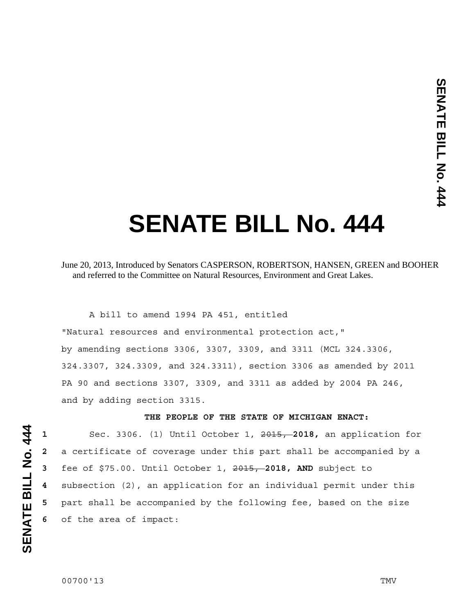# **SENATE BILL No. 444**

## June 20, 2013, Introduced by Senators CASPERSON, ROBERTSON, HANSEN, GREEN and BOOHER and referred to the Committee on Natural Resources, Environment and Great Lakes.

 A bill to amend 1994 PA 451, entitled "Natural resources and environmental protection act," by amending sections 3306, 3307, 3309, and 3311 (MCL 324.3306, 324.3307, 324.3309, and 324.3311), section 3306 as amended by 2011 PA 90 and sections 3307, 3309, and 3311 as added by 2004 PA 246, and by adding section 3315.

#### **THE PEOPLE OF THE STATE OF MICHIGAN ENACT:**

Sec. 3306. (1) Until October 1, 2015, **2018,** an application for a certificate of coverage under this part shall be accompanied by a fee of \$75.00. Until October 1, 2015, **2018, AND** subject to subsection (2), an application for an individual permit under this part shall be accompanied by the following fee, based on the size of the area of impact: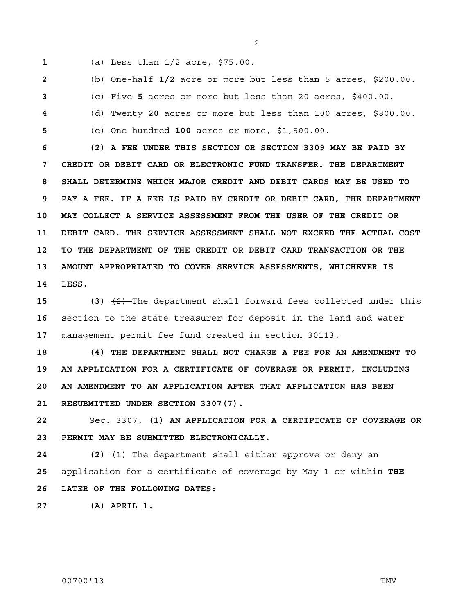- 
- **1** (a) Less than 1/2 acre, \$75.00.

**2** (b) One-half **1/2** acre or more but less than 5 acres, \$200.00.

**3** (c) Five **5** acres or more but less than 20 acres, \$400.00.

- **4** (d) Twenty **20** acres or more but less than 100 acres, \$800.00.
- 

**5** (e) One hundred **100** acres or more, \$1,500.00.

**6 (2) A FEE UNDER THIS SECTION OR SECTION 3309 MAY BE PAID BY 7 CREDIT OR DEBIT CARD OR ELECTRONIC FUND TRANSFER. THE DEPARTMENT 8 SHALL DETERMINE WHICH MAJOR CREDIT AND DEBIT CARDS MAY BE USED TO 9 PAY A FEE. IF A FEE IS PAID BY CREDIT OR DEBIT CARD, THE DEPARTMENT 10 MAY COLLECT A SERVICE ASSESSMENT FROM THE USER OF THE CREDIT OR 11 DEBIT CARD. THE SERVICE ASSESSMENT SHALL NOT EXCEED THE ACTUAL COST 12 TO THE DEPARTMENT OF THE CREDIT OR DEBIT CARD TRANSACTION OR THE 13 AMOUNT APPROPRIATED TO COVER SERVICE ASSESSMENTS, WHICHEVER IS 14 LESS.**

**15 (3)** (2) The department shall forward fees collected under this **16** section to the state treasurer for deposit in the land and water **17** management permit fee fund created in section 30113.

**18 (4) THE DEPARTMENT SHALL NOT CHARGE A FEE FOR AN AMENDMENT TO 19 AN APPLICATION FOR A CERTIFICATE OF COVERAGE OR PERMIT, INCLUDING 20 AN AMENDMENT TO AN APPLICATION AFTER THAT APPLICATION HAS BEEN 21 RESUBMITTED UNDER SECTION 3307(7).**

**22** Sec. 3307. **(1) AN APPLICATION FOR A CERTIFICATE OF COVERAGE OR 23 PERMIT MAY BE SUBMITTED ELECTRONICALLY.** 

**24** (2)  $\left(1\right)$  The department shall either approve or deny an **25** application for a certificate of coverage by May 1 or within **THE 26 LATER OF THE FOLLOWING DATES:** 

**27 (A) APRIL 1.**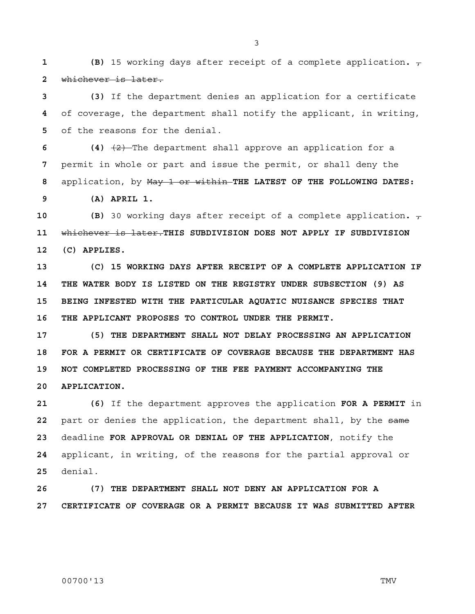**1 (B)** 15 working days after receipt of a complete application.  $\tau$ **2** whichever is later.

**3 (3)** If the department denies an application for a certificate **4** of coverage, the department shall notify the applicant, in writing, **5** of the reasons for the denial.

**6 (4)** (2) The department shall approve an application for a **7** permit in whole or part and issue the permit, or shall deny the **8** application, by May 1 or within **THE LATEST OF THE FOLLOWING DATES:** 

**9 (A) APRIL 1.** 

**10 (B)** 30 working days after receipt of a complete application.  $\tau$ **11** whichever is later.**THIS SUBDIVISION DOES NOT APPLY IF SUBDIVISION 12 (C) APPLIES.** 

**13 (C) 15 WORKING DAYS AFTER RECEIPT OF A COMPLETE APPLICATION IF 14 THE WATER BODY IS LISTED ON THE REGISTRY UNDER SUBSECTION (9) AS 15 BEING INFESTED WITH THE PARTICULAR AQUATIC NUISANCE SPECIES THAT 16 THE APPLICANT PROPOSES TO CONTROL UNDER THE PERMIT.** 

**17 (5) THE DEPARTMENT SHALL NOT DELAY PROCESSING AN APPLICATION 18 FOR A PERMIT OR CERTIFICATE OF COVERAGE BECAUSE THE DEPARTMENT HAS 19 NOT COMPLETED PROCESSING OF THE FEE PAYMENT ACCOMPANYING THE 20 APPLICATION.** 

**21 (6)** If the department approves the application **FOR A PERMIT** in **22** part or denies the application, the department shall, by the same **23** deadline **FOR APPROVAL OR DENIAL OF THE APPLICATION**, notify the **24** applicant, in writing, of the reasons for the partial approval or **25** denial.

**26 (7) THE DEPARTMENT SHALL NOT DENY AN APPLICATION FOR A 27 CERTIFICATE OF COVERAGE OR A PERMIT BECAUSE IT WAS SUBMITTED AFTER**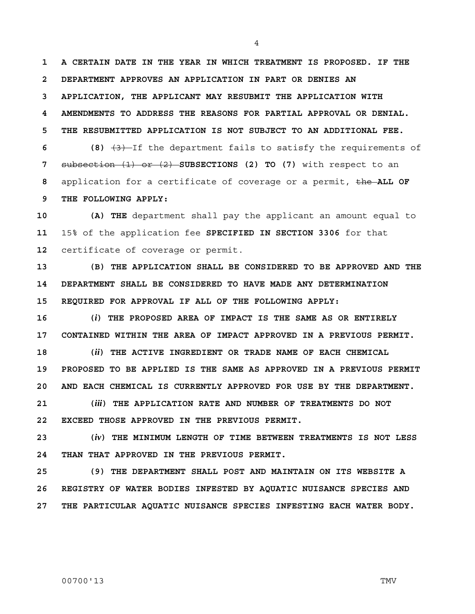**1 A CERTAIN DATE IN THE YEAR IN WHICH TREATMENT IS PROPOSED. IF THE 2 DEPARTMENT APPROVES AN APPLICATION IN PART OR DENIES AN 3 APPLICATION, THE APPLICANT MAY RESUBMIT THE APPLICATION WITH 4 AMENDMENTS TO ADDRESS THE REASONS FOR PARTIAL APPROVAL OR DENIAL. 5 THE RESUBMITTED APPLICATION IS NOT SUBJECT TO AN ADDITIONAL FEE. 6 (8)** (3) If the department fails to satisfy the requirements of

**7** subsection (1) or (2) **SUBSECTIONS (2) TO (7)** with respect to an **8** application for a certificate of coverage or a permit, the **ALL OF 9 THE FOLLOWING APPLY:** 

**10 (A) THE** department shall pay the applicant an amount equal to **11** 15% of the application fee **SPECIFIED IN SECTION 3306** for that **12** certificate of coverage or permit.

**13 (B) THE APPLICATION SHALL BE CONSIDERED TO BE APPROVED AND THE 14 DEPARTMENT SHALL BE CONSIDERED TO HAVE MADE ANY DETERMINATION 15 REQUIRED FOR APPROVAL IF ALL OF THE FOLLOWING APPLY:** 

**16 (***i***) THE PROPOSED AREA OF IMPACT IS THE SAME AS OR ENTIRELY 17 CONTAINED WITHIN THE AREA OF IMPACT APPROVED IN A PREVIOUS PERMIT.** 

**18 (***ii***) THE ACTIVE INGREDIENT OR TRADE NAME OF EACH CHEMICAL 19 PROPOSED TO BE APPLIED IS THE SAME AS APPROVED IN A PREVIOUS PERMIT 20 AND EACH CHEMICAL IS CURRENTLY APPROVED FOR USE BY THE DEPARTMENT.** 

**21 (***iii***) THE APPLICATION RATE AND NUMBER OF TREATMENTS DO NOT 22 EXCEED THOSE APPROVED IN THE PREVIOUS PERMIT.** 

**23 (***iv***) THE MINIMUM LENGTH OF TIME BETWEEN TREATMENTS IS NOT LESS 24 THAN THAT APPROVED IN THE PREVIOUS PERMIT.** 

**25 (9) THE DEPARTMENT SHALL POST AND MAINTAIN ON ITS WEBSITE A 26 REGISTRY OF WATER BODIES INFESTED BY AQUATIC NUISANCE SPECIES AND 27 THE PARTICULAR AQUATIC NUISANCE SPECIES INFESTING EACH WATER BODY.**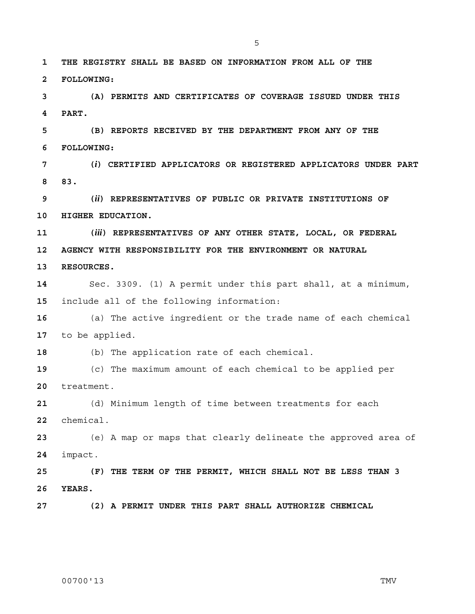**1 THE REGISTRY SHALL BE BASED ON INFORMATION FROM ALL OF THE 2 FOLLOWING: 3 (A) PERMITS AND CERTIFICATES OF COVERAGE ISSUED UNDER THIS** 

**4 PART.** 

**5 (B) REPORTS RECEIVED BY THE DEPARTMENT FROM ANY OF THE 6 FOLLOWING:** 

**7 (***i***) CERTIFIED APPLICATORS OR REGISTERED APPLICATORS UNDER PART 8 83.** 

**9 (***ii***) REPRESENTATIVES OF PUBLIC OR PRIVATE INSTITUTIONS OF 10 HIGHER EDUCATION.** 

**11 (***iii***) REPRESENTATIVES OF ANY OTHER STATE, LOCAL, OR FEDERAL 12 AGENCY WITH RESPONSIBILITY FOR THE ENVIRONMENT OR NATURAL** 

**13 RESOURCES.**

**14** Sec. 3309. (1) A permit under this part shall, at a minimum, **15** include all of the following information:

**16** (a) The active ingredient or the trade name of each chemical **17** to be applied.

**18** (b) The application rate of each chemical.

**19** (c) The maximum amount of each chemical to be applied per **20** treatment.

**21** (d) Minimum length of time between treatments for each **22** chemical.

**23** (e) A map or maps that clearly delineate the approved area of **24** impact.

**25 (F) THE TERM OF THE PERMIT, WHICH SHALL NOT BE LESS THAN 3 26 YEARS.** 

**27 (2) A PERMIT UNDER THIS PART SHALL AUTHORIZE CHEMICAL**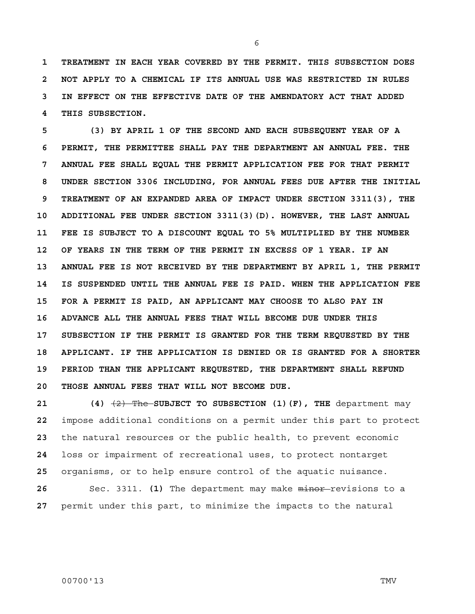**1 TREATMENT IN EACH YEAR COVERED BY THE PERMIT. THIS SUBSECTION DOES 2 NOT APPLY TO A CHEMICAL IF ITS ANNUAL USE WAS RESTRICTED IN RULES 3 IN EFFECT ON THE EFFECTIVE DATE OF THE AMENDATORY ACT THAT ADDED 4 THIS SUBSECTION.** 

**5 (3) BY APRIL 1 OF THE SECOND AND EACH SUBSEQUENT YEAR OF A 6 PERMIT, THE PERMITTEE SHALL PAY THE DEPARTMENT AN ANNUAL FEE. THE 7 ANNUAL FEE SHALL EQUAL THE PERMIT APPLICATION FEE FOR THAT PERMIT 8 UNDER SECTION 3306 INCLUDING, FOR ANNUAL FEES DUE AFTER THE INITIAL 9 TREATMENT OF AN EXPANDED AREA OF IMPACT UNDER SECTION 3311(3), THE 10 ADDITIONAL FEE UNDER SECTION 3311(3)(D). HOWEVER, THE LAST ANNUAL 11 FEE IS SUBJECT TO A DISCOUNT EQUAL TO 5% MULTIPLIED BY THE NUMBER 12 OF YEARS IN THE TERM OF THE PERMIT IN EXCESS OF 1 YEAR. IF AN 13 ANNUAL FEE IS NOT RECEIVED BY THE DEPARTMENT BY APRIL 1, THE PERMIT 14 IS SUSPENDED UNTIL THE ANNUAL FEE IS PAID. WHEN THE APPLICATION FEE 15 FOR A PERMIT IS PAID, AN APPLICANT MAY CHOOSE TO ALSO PAY IN 16 ADVANCE ALL THE ANNUAL FEES THAT WILL BECOME DUE UNDER THIS 17 SUBSECTION IF THE PERMIT IS GRANTED FOR THE TERM REQUESTED BY THE 18 APPLICANT. IF THE APPLICATION IS DENIED OR IS GRANTED FOR A SHORTER 19 PERIOD THAN THE APPLICANT REQUESTED, THE DEPARTMENT SHALL REFUND 20 THOSE ANNUAL FEES THAT WILL NOT BECOME DUE.** 

**21 (4)** (2) The **SUBJECT TO SUBSECTION (1)(F), THE** department may impose additional conditions on a permit under this part to protect the natural resources or the public health, to prevent economic loss or impairment of recreational uses, to protect nontarget organisms, or to help ensure control of the aquatic nuisance. Sec. 3311. **(1)** The department may make minor-revisions to a permit under this part, to minimize the impacts to the natural

### 00700'13 TMV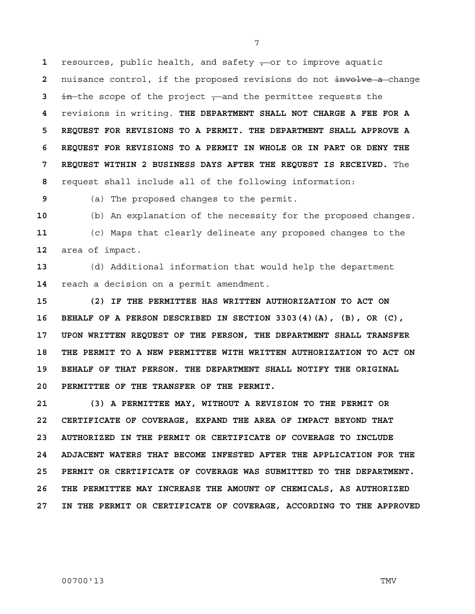resources, public health, and safety  $\frac{1}{x}$  or to improve aquatic nuisance control, if the proposed revisions do not involve a change in the scope of the project  $\tau$  and the permittee requests the revisions in writing. **THE DEPARTMENT SHALL NOT CHARGE A FEE FOR A 5 REQUEST FOR REVISIONS TO A PERMIT. THE DEPARTMENT SHALL APPROVE A 6 REQUEST FOR REVISIONS TO A PERMIT IN WHOLE OR IN PART OR DENY THE 7 REQUEST WITHIN 2 BUSINESS DAYS AFTER THE REQUEST IS RECEIVED.** The request shall include all of the following information:

**9** (a) The proposed changes to the permit.

**10** (b) An explanation of the necessity for the proposed changes. **11** (c) Maps that clearly delineate any proposed changes to the **12** area of impact.

**13** (d) Additional information that would help the department **14** reach a decision on a permit amendment.

**15 (2) IF THE PERMITTEE HAS WRITTEN AUTHORIZATION TO ACT ON 16 BEHALF OF A PERSON DESCRIBED IN SECTION 3303(4)(A), (B), OR (C), 17 UPON WRITTEN REQUEST OF THE PERSON, THE DEPARTMENT SHALL TRANSFER 18 THE PERMIT TO A NEW PERMITTEE WITH WRITTEN AUTHORIZATION TO ACT ON 19 BEHALF OF THAT PERSON. THE DEPARTMENT SHALL NOTIFY THE ORIGINAL 20 PERMITTEE OF THE TRANSFER OF THE PERMIT.** 

**21 (3) A PERMITTEE MAY, WITHOUT A REVISION TO THE PERMIT OR 22 CERTIFICATE OF COVERAGE, EXPAND THE AREA OF IMPACT BEYOND THAT 23 AUTHORIZED IN THE PERMIT OR CERTIFICATE OF COVERAGE TO INCLUDE 24 ADJACENT WATERS THAT BECOME INFESTED AFTER THE APPLICATION FOR THE 25 PERMIT OR CERTIFICATE OF COVERAGE WAS SUBMITTED TO THE DEPARTMENT. 26 THE PERMITTEE MAY INCREASE THE AMOUNT OF CHEMICALS, AS AUTHORIZED 27 IN THE PERMIT OR CERTIFICATE OF COVERAGE, ACCORDING TO THE APPROVED**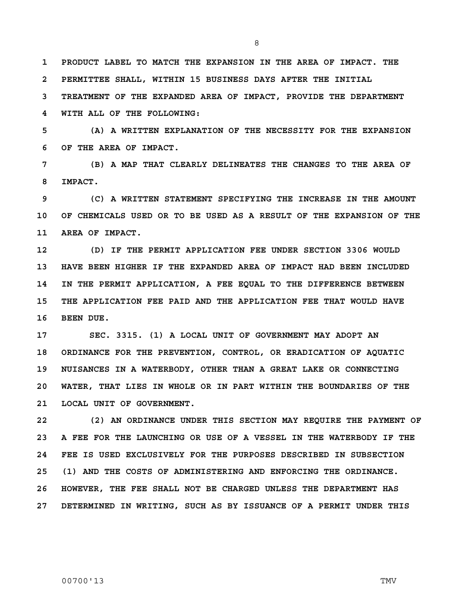**1 PRODUCT LABEL TO MATCH THE EXPANSION IN THE AREA OF IMPACT. THE 2 PERMITTEE SHALL, WITHIN 15 BUSINESS DAYS AFTER THE INITIAL 3 TREATMENT OF THE EXPANDED AREA OF IMPACT, PROVIDE THE DEPARTMENT** 

**5 (A) A WRITTEN EXPLANATION OF THE NECESSITY FOR THE EXPANSION 6 OF THE AREA OF IMPACT.** 

**4 WITH ALL OF THE FOLLOWING:** 

**7 (B) A MAP THAT CLEARLY DELINEATES THE CHANGES TO THE AREA OF 8 IMPACT.** 

**9 (C) A WRITTEN STATEMENT SPECIFYING THE INCREASE IN THE AMOUNT 10 OF CHEMICALS USED OR TO BE USED AS A RESULT OF THE EXPANSION OF THE 11 AREA OF IMPACT.** 

**12 (D) IF THE PERMIT APPLICATION FEE UNDER SECTION 3306 WOULD 13 HAVE BEEN HIGHER IF THE EXPANDED AREA OF IMPACT HAD BEEN INCLUDED 14 IN THE PERMIT APPLICATION, A FEE EQUAL TO THE DIFFERENCE BETWEEN 15 THE APPLICATION FEE PAID AND THE APPLICATION FEE THAT WOULD HAVE 16 BEEN DUE.** 

**17 SEC. 3315. (1) A LOCAL UNIT OF GOVERNMENT MAY ADOPT AN 18 ORDINANCE FOR THE PREVENTION, CONTROL, OR ERADICATION OF AQUATIC 19 NUISANCES IN A WATERBODY, OTHER THAN A GREAT LAKE OR CONNECTING 20 WATER, THAT LIES IN WHOLE OR IN PART WITHIN THE BOUNDARIES OF THE 21 LOCAL UNIT OF GOVERNMENT.** 

**22 (2) AN ORDINANCE UNDER THIS SECTION MAY REQUIRE THE PAYMENT OF 23 A FEE FOR THE LAUNCHING OR USE OF A VESSEL IN THE WATERBODY IF THE 24 FEE IS USED EXCLUSIVELY FOR THE PURPOSES DESCRIBED IN SUBSECTION 25 (1) AND THE COSTS OF ADMINISTERING AND ENFORCING THE ORDINANCE. 26 HOWEVER, THE FEE SHALL NOT BE CHARGED UNLESS THE DEPARTMENT HAS 27 DETERMINED IN WRITING, SUCH AS BY ISSUANCE OF A PERMIT UNDER THIS** 

#### 00700'13 TMV